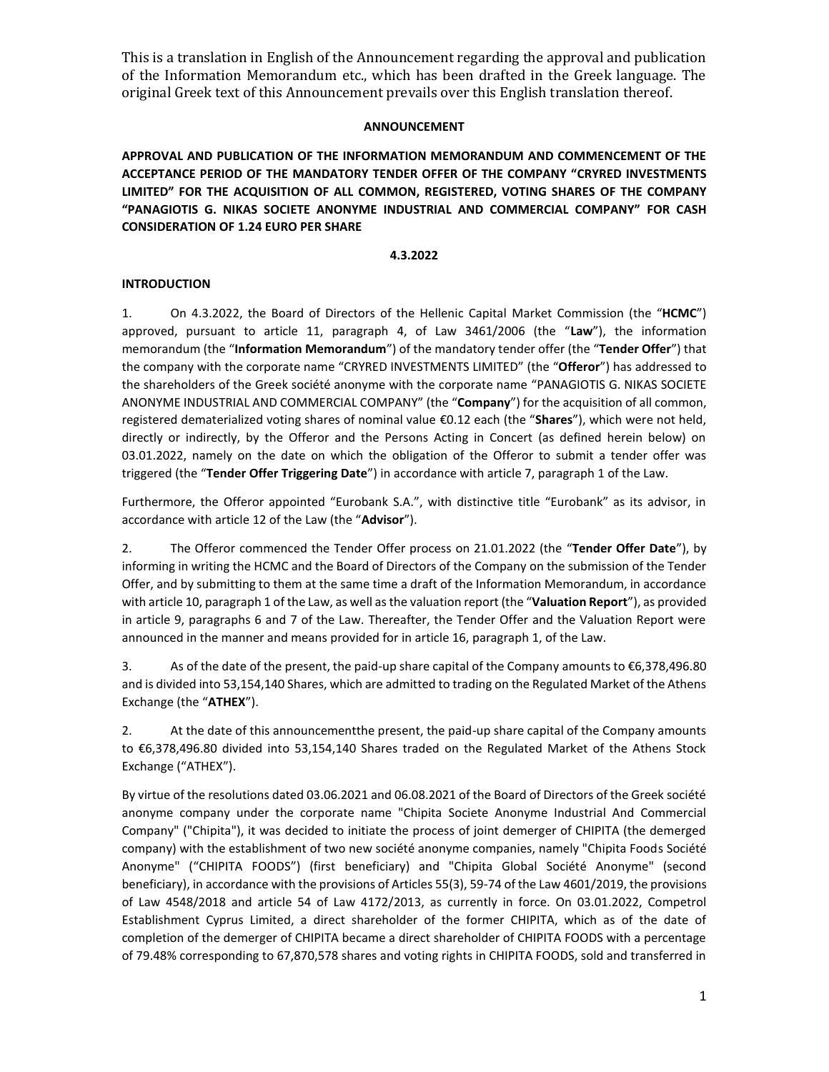## **ANNOUNCEMENT**

**APPROVAL AND PUBLICATION OF THE INFORMATION MEMORANDUM AND COMMENCEMENT OF THE ACCEPTANCE PERIOD OF THE MANDATORY TENDER OFFER OF THE COMPANY "CRYRED INVESTMENTS LIMITED" FOR THE ACQUISITION OF ALL COMMON, REGISTERED, VOTING SHARES OF THE COMPANY "PANAGIOTIS G. NIKAS SOCIETE ANONYME INDUSTRIAL AND COMMERCIAL COMPANY" FOR CASH CONSIDERATION OF 1.24 EURO PER SHARE**

### **4.3.2022**

# **INTRODUCTION**

1. On 4.3.2022, the Board of Directors of the Hellenic Capital Market Commission (the "**HCMC**") approved, pursuant to article 11, paragraph 4, of Law 3461/2006 (the "**Law**"), the information memorandum (the "**Information Memorandum**") of the mandatory tender offer (the "**Tender Offer**") that the company with the corporate name "CRYRED INVESTMENTS LIMITED" (the "**Offeror**") has addressed to the shareholders of the Greek société anonyme with the corporate name "PANAGIOTIS G. NIKAS SOCIETE ANONYME INDUSTRIAL AND COMMERCIAL COMPANY" (the "**Company**") for the acquisition of all common, registered dematerialized voting shares of nominal value €0.12 each (the "**Shares**"), which were not held, directly or indirectly, by the Offeror and the Persons Acting in Concert (as defined herein below) on 03.01.2022, namely on the date on which the obligation of the Offeror to submit a tender offer was triggered (the "**Tender Offer Triggering Date**") in accordance with article 7, paragraph 1 of the Law.

Furthermore, the Offeror appointed "Eurobank S.A.", with distinctive title "Eurobank" as its advisor, in accordance with article 12 of the Law (the "**Advisor**").

2. The Offeror commenced the Tender Offer process on 21.01.2022 (the "**Tender Offer Date**"), by informing in writing the HCMC and the Board of Directors of the Company on the submission of the Tender Offer, and by submitting to them at the same time a draft of the Information Memorandum, in accordance with article 10, paragraph 1 of the Law, as well as the valuation report (the "**Valuation Report**"), as provided in article 9, paragraphs 6 and 7 of the Law. Thereafter, the Tender Offer and the Valuation Report were announced in the manner and means provided for in article 16, paragraph 1, of the Law.

3. As of the date of the present, the paid-up share capital of the Company amounts to €6,378,496.80 and is divided into 53,154,140 Shares, which are admitted to trading on the Regulated Market of the Athens Exchange (the "**ATHEX**").

2. At the date of this announcementthe present, the paid-up share capital of the Company amounts to €6,378,496.80 divided into 53,154,140 Shares traded on the Regulated Market of the Athens Stock Exchange ("ATHEX").

By virtue of the resolutions dated 03.06.2021 and 06.08.2021 of the Board of Directors of the Greek société anonyme company under the corporate name "Chipita Societe Anonyme Industrial And Commercial Company" ("Chipita"), it was decided to initiate the process of joint demerger of CHIPITA (the demerged company) with the establishment of two new société anonyme companies, namely "Chipita Foods Société Anonyme" ("CHIPITA FOODS") (first beneficiary) and "Chipita Global Société Anonyme" (second beneficiary), in accordance with the provisions of Articles 55(3), 59-74 of the Law 4601/2019, the provisions of Law 4548/2018 and article 54 of Law 4172/2013, as currently in force. On 03.01.2022, Competrol Establishment Cyprus Limited, a direct shareholder of the former CHIPITA, which as of the date of completion of the demerger of CHIPITA became a direct shareholder of CHIPITA FOODS with a percentage of 79.48% corresponding to 67,870,578 shares and voting rights in CHIPITA FOODS, sold and transferred in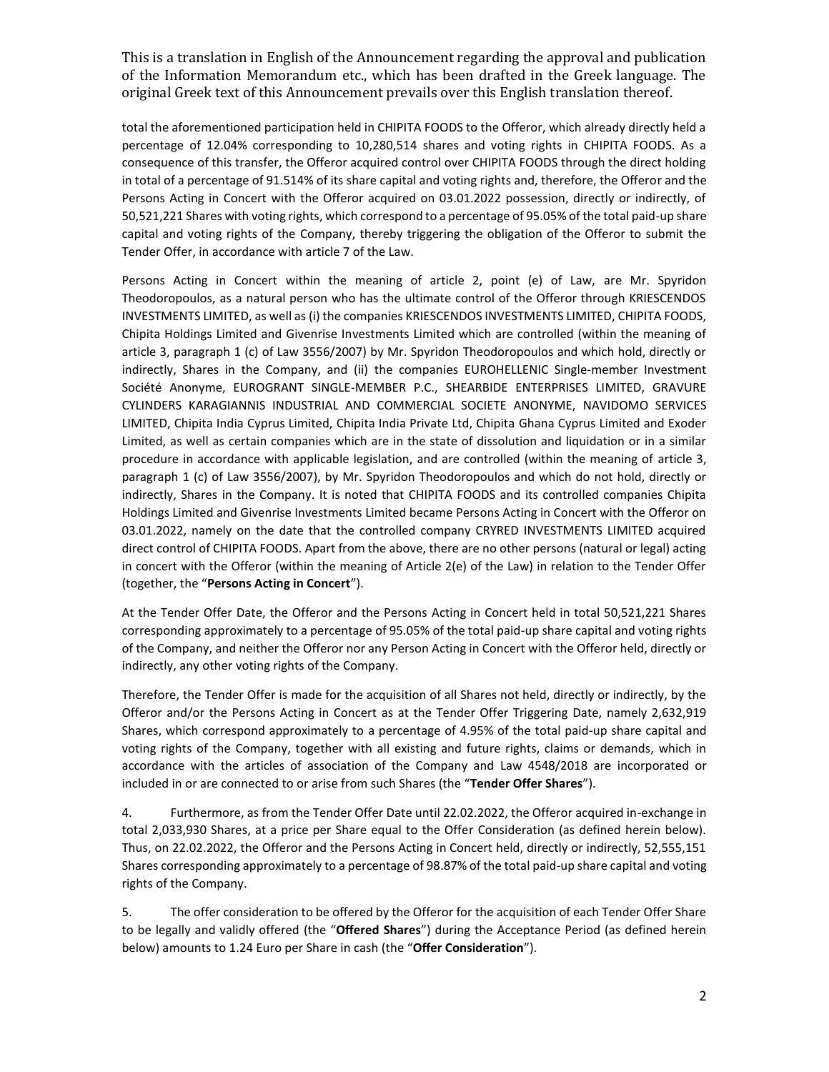total the aforementioned participation held in CHIPITA FOODS to the Offeror, which already directly held a percentage of 12.04% corresponding to 10,280,514 shares and voting rights in CHIPITA FOODS. As a consequence of this transfer, the Offeror acquired control over CHIPITA FOODS through the direct holding in total of a percentage of 91.514% of its share capital and voting rights and, therefore, the Offeror and the Persons Acting in Concert with the Offeror acquired on 03.01.2022 possession, directly or indirectly, of 50,521,221 Shares with voting rights, which correspond to a percentage of 95.05% of the total paid-up share capital and voting rights of the Company, thereby triggering the obligation of the Offeror to submit the Tender Offer, in accordance with article 7 of the Law.

Persons Acting in Concert within the meaning of article 2, point (e) of Law, are Mr. Spyridon Theodoropoulos, as a natural person who has the ultimate control of the Offeror through KRIESCENDOS INVESTMENTS LIMITED, as well as (i) the companies KRIESCENDOS INVESTMENTS LIMITED, CHIPITA FOODS, Chipita Holdings Limited and Givenrise Investments Limited which are controlled (within the meaning of article 3, paragraph 1 (c) of Law 3556/2007) by Mr. Spyridon Theodoropoulos and which hold, directly or indirectly, Shares in the Company, and (ii) the companies EUROHELLENIC Single-member Investment Société Anonyme, EUROGRANT SINGLE-MEMBER P.C., SHEARBIDE ENTERPRISES LIMITED, GRAVURE CYLINDERS KARAGIANNIS INDUSTRIAL AND COMMERCIAL SOCIETE ANONYME, NAVIDOMO SERVICES LIMITED, Chipita India Cyprus Limited, Chipita India Private Ltd, Chipita Ghana Cyprus Limited and Exoder Limited, as well as certain companies which are in the state of dissolution and liquidation or in a similar procedure in accordance with applicable legislation, and are controlled (within the meaning of article 3, paragraph 1 (c) of Law 3556/2007), by Mr. Spyridon Theodoropoulos and which do not hold, directly or indirectly, Shares in the Company. It is noted that CHIPITA FOODS and its controlled companies Chipita Holdings Limited and Givenrise Investments Limited became Persons Acting in Concert with the Offeror on 03.01.2022, namely on the date that the controlled company CRYRED INVESTMENTS LIMITED acquired direct control of CHIPITA FOODS. Apart from the above, there are no other persons (natural or legal) acting in concert with the Offeror (within the meaning of Article 2(e) of the Law) in relation to the Tender Offer (together, the "**Persons Acting in Concert**").

At the Tender Offer Date, the Offeror and the Persons Acting in Concert held in total 50,521,221 Shares corresponding approximately to a percentage of 95.05% of the total paid-up share capital and voting rights of the Company, and neither the Offeror nor any Person Acting in Concert with the Offeror held, directly or indirectly, any other voting rights of the Company.

Therefore, the Tender Offer is made for the acquisition of all Shares not held, directly or indirectly, by the Offeror and/or the Persons Acting in Concert as at the Tender Offer Triggering Date, namely 2,632,919 Shares, which correspond approximately to a percentage of 4.95% of the total paid-up share capital and voting rights of the Company, together with all existing and future rights, claims or demands, which in accordance with the articles of association of the Company and Law 4548/2018 are incorporated or included in or are connected to or arise from such Shares (the "**Tender Offer Shares**").

4. Furthermore, as from the Tender Offer Date until 22.02.2022, the Offeror acquired in-exchange in total 2,033,930 Shares, at a price per Share equal to the Offer Consideration (as defined herein below). Thus, on 22.02.2022, the Offeror and the Persons Acting in Concert held, directly or indirectly, 52,555,151 Shares corresponding approximately to a percentage of 98.87% of the total paid-up share capital and voting rights of the Company.

5. The offer consideration to be offered by the Offeror for the acquisition of each Tender Offer Share to be legally and validly offered (the "**Offered Shares**") during the Acceptance Period (as defined herein below) amounts to 1.24 Euro per Share in cash (the "**Offer Consideration**").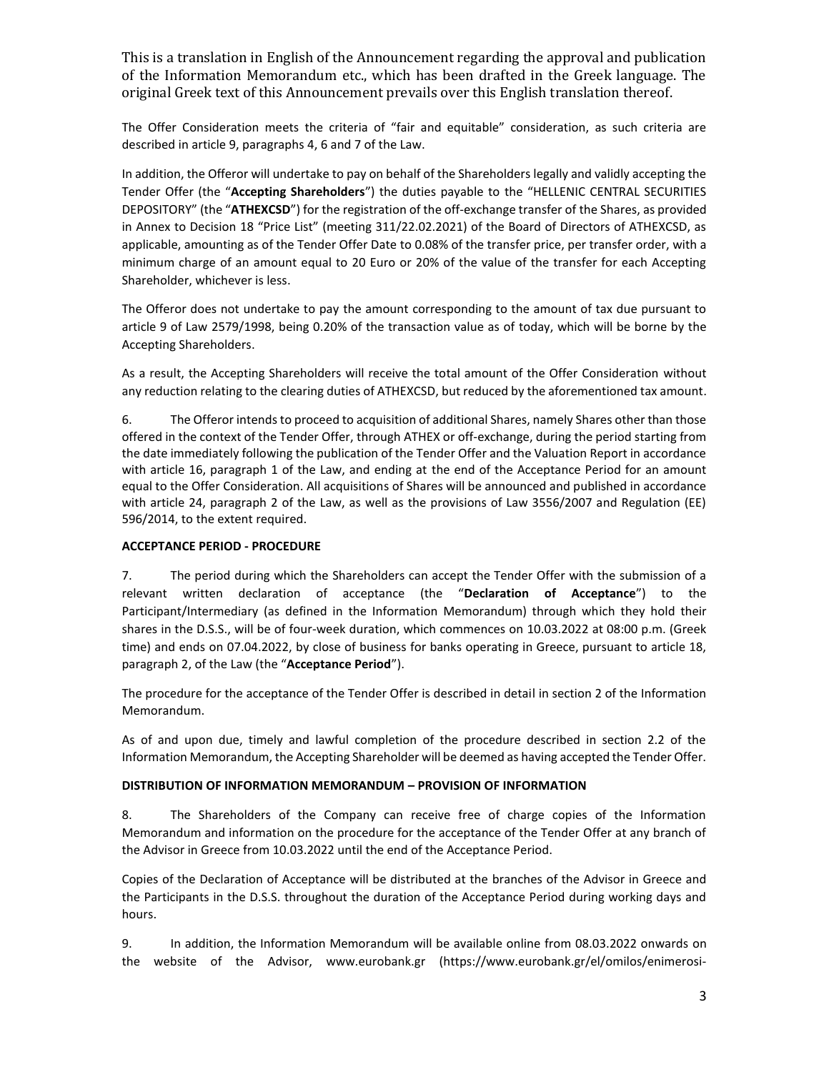The Offer Consideration meets the criteria of "fair and equitable" consideration, as such criteria are described in article 9, paragraphs 4, 6 and 7 of the Law.

In addition, the Offeror will undertake to pay on behalf of the Shareholders legally and validly accepting the Tender Offer (the "**Accepting Shareholders**") the duties payable to the "HELLENIC CENTRAL SECURITIES DEPOSITORY" (the "ATHEXCSD") for the registration of the off-exchange transfer of the Shares, as provided in Annex to Decision 18 "Price List" (meeting 311/22.02.2021) of the Board of Directors of ATHEXCSD, as applicable, amounting as of the Tender Offer Date to 0.08% of the transfer price, per transfer order, with a minimum charge of an amount equal to 20 Euro or 20% of the value of the transfer for each Accepting Shareholder, whichever is less.

The Offeror does not undertake to pay the amount corresponding to the amount of tax due pursuant to article 9 of Law 2579/1998, being 0.20% of the transaction value as of today, which will be borne by the Accepting Shareholders.

As a result, the Accepting Shareholders will receive the total amount of the Offer Consideration without any reduction relating to the clearing duties of ATHEXCSD, but reduced by the aforementioned tax amount.

6. The Offeror intends to proceed to acquisition of additional Shares, namely Shares other than those offered in the context of the Tender Offer, through ATHEX or off-exchange, during the period starting from the date immediately following the publication of the Tender Offer and the Valuation Report in accordance with article 16, paragraph 1 of the Law, and ending at the end of the Acceptance Period for an amount equal to the Offer Consideration. All acquisitions of Shares will be announced and published in accordance with article 24, paragraph 2 of the Law, as well as the provisions of Law 3556/2007 and Regulation (EE) 596/2014, to the extent required.

#### **ACCEPTANCE PERIOD - PROCEDURE**

7. The period during which the Shareholders can accept the Tender Offer with the submission of a relevant written declaration of acceptance (the "**Declaration of Acceptance**") to the Participant/Intermediary (as defined in the Information Memorandum) through which they hold their shares in the D.S.S., will be of four-week duration, which commences on 10.03.2022 at 08:00 p.m. (Greek time) and ends on 07.04.2022, by close of business for banks operating in Greece, pursuant to article 18, paragraph 2, of the Law (the "**Acceptance Period**").

The procedure for the acceptance of the Tender Offer is described in detail in section 2 of the Information Memorandum.

As of and upon due, timely and lawful completion of the procedure described in section 2.2 of the Information Memorandum, the Accepting Shareholder will be deemed as having accepted the Tender Offer.

#### **DISTRIBUTION OF INFORMATION MEMORANDUM – PROVISION OF INFORMATION**

8. The Shareholders of the Company can receive free of charge copies of the Information Memorandum and information on the procedure for the acceptance of the Tender Offer at any branch of the Advisor in Greece from 10.03.2022 until the end of the Acceptance Period.

Copies of the Declaration of Acceptance will be distributed at the branches of the Advisor in Greece and the Participants in the D.S.S. throughout the duration of the Acceptance Period during working days and hours.

9. In addition, the Information Memorandum will be available online from 08.03.2022 onwards on the website of the Advisor, www.eurobank.gr [\(https://www.eurobank.gr/el/omilos/enimerosi-](https://www.eurobank.gr/el/omilos/enimerosi-ependuton/enimerotika-deltia/enimerotika-deltia-sumboulos-anadoxos-trapeza-eurobank-ergasias-ae)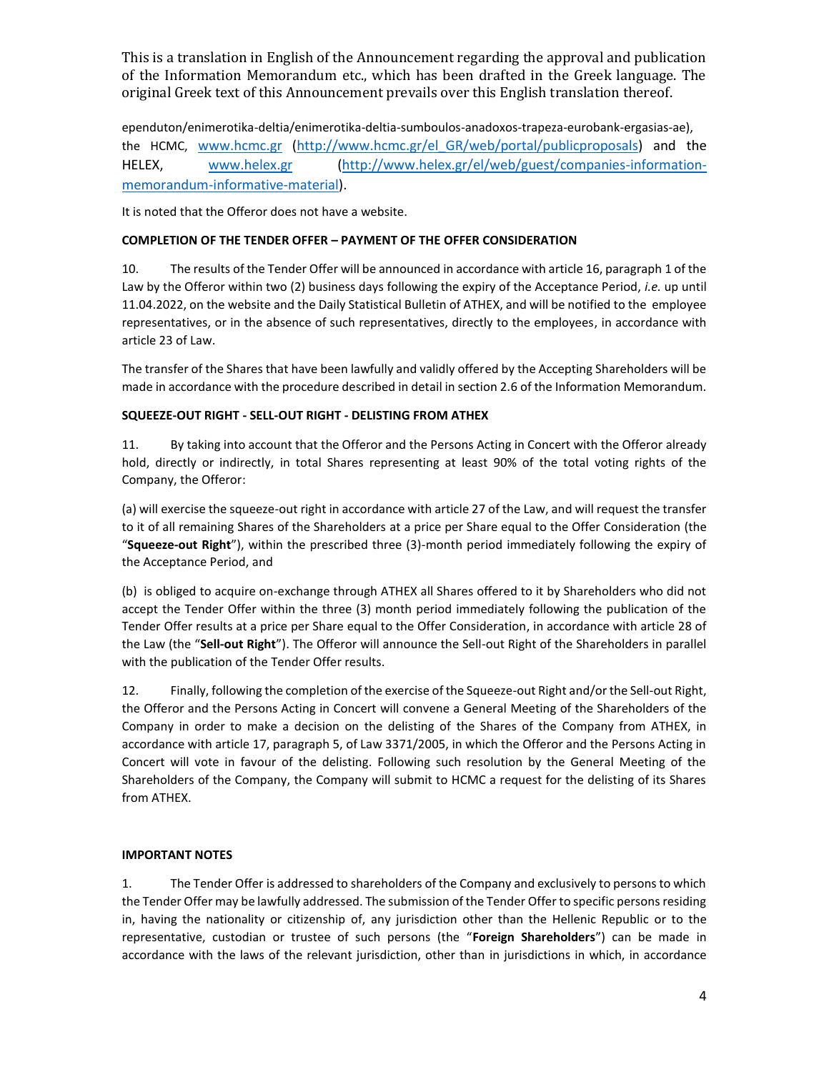[ependuton/enimerotika-deltia/enimerotika-deltia-sumboulos-anadoxos-trapeza-eurobank-ergasias-ae\)](https://www.eurobank.gr/el/omilos/enimerosi-ependuton/enimerotika-deltia/enimerotika-deltia-sumboulos-anadoxos-trapeza-eurobank-ergasias-ae), the HCMC, [www.hcmc.gr](http://www.hcmc.gr/) [\(http://www.hcmc.gr/el\\_GR/web/portal/publicproposals\)](http://www.hcmc.gr/el_GR/web/portal/publicproposals) and the HELEX, [www.helex.gr](http://www.helex.gr/) [\(http://www.helex.gr/el/web/guest/companies-information](http://www.helex.gr/el/web/guest/companies-information-memorandum-informative-material)[memorandum-informative-material\)](http://www.helex.gr/el/web/guest/companies-information-memorandum-informative-material).

It is noted that the Offeror does not have a website.

## **COMPLETION OF THE TENDER OFFER – PAYMENT OF THE OFFER CONSIDERATION**

10. The results of the Tender Offer will be announced in accordance with article 16, paragraph 1 of the Law by the Offeror within two (2) business days following the expiry of the Acceptance Period, *i.e.* up until 11.04.2022, on the website and the Daily Statistical Bulletin of ATHEX, and will be notified to the employee representatives, or in the absence of such representatives, directly to the employees, in accordance with article 23 of Law.

The transfer of the Shares that have been lawfully and validly offered by the Accepting Shareholders will be made in accordance with the procedure described in detail in section 2.6 of the Information Memorandum.

## **SQUEEZE-OUT RIGHT - SELL-OUT RIGHT - DELISTING FROM ATHEX**

11. By taking into account that the Offeror and the Persons Acting in Concert with the Offeror already hold, directly or indirectly, in total Shares representing at least 90% of the total voting rights of the Company, the Offeror:

(a) will exercise the squeeze-out right in accordance with article 27 of the Law, and will request the transfer to it of all remaining Shares of the Shareholders at a price per Share equal to the Offer Consideration (the "**Squeeze-out Right**"), within the prescribed three (3)-month period immediately following the expiry of the Acceptance Period, and

(b) is obliged to acquire on-exchange through ATHEX all Shares offered to it by Shareholders who did not accept the Tender Offer within the three (3) month period immediately following the publication of the Tender Offer results at a price per Share equal to the Offer Consideration, in accordance with article 28 of the Law (the "**Sell-out Right**"). The Offeror will announce the Sell-out Right of the Shareholders in parallel with the publication of the Tender Offer results.

12. Finally, following the completion of the exercise of the Squeeze-out Right and/or the Sell-out Right, the Offeror and the Persons Acting in Concert will convene a General Meeting of the Shareholders of the Company in order to make a decision on the delisting of the Shares of the Company from ATHEX, in accordance with article 17, paragraph 5, of Law 3371/2005, in which the Offeror and the Persons Acting in Concert will vote in favour of the delisting. Following such resolution by the General Meeting of the Shareholders of the Company, the Company will submit to HCMC a request for the delisting of its Shares from ATHEX.

#### **IMPORTANT NOTES**

1. The Tender Offer is addressed to shareholders of the Company and exclusively to persons to which the Tender Offer may be lawfully addressed. The submission of the Tender Offer to specific persons residing in, having the nationality or citizenship of, any jurisdiction other than the Hellenic Republic or to the representative, custodian or trustee of such persons (the "**Foreign Shareholders**") can be made in accordance with the laws of the relevant jurisdiction, other than in jurisdictions in which, in accordance